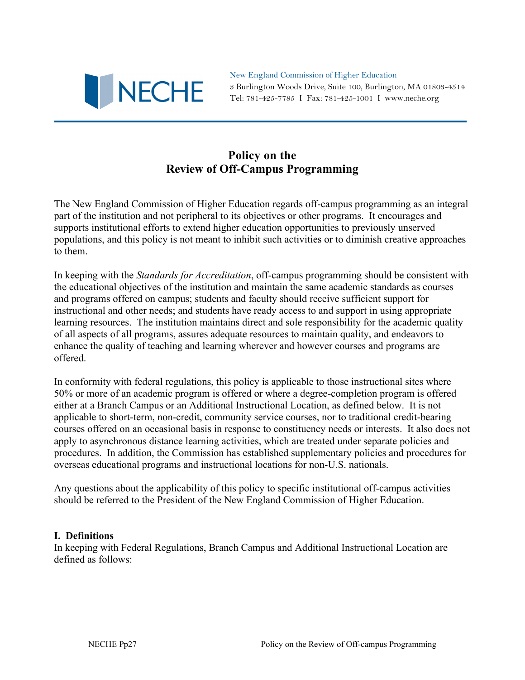

New England Commission of Higher Education 3 Burlington Woods Drive, Suite 100, Burlington, MA 01803-4514 Tel: 781-425-7785 I Fax: 781-425-1001 I www.neche.org

# **Policy on the Review of Off-Campus Programming**

The New England Commission of Higher Education regards off-campus programming as an integral part of the institution and not peripheral to its objectives or other programs. It encourages and supports institutional efforts to extend higher education opportunities to previously unserved populations, and this policy is not meant to inhibit such activities or to diminish creative approaches to them.

In keeping with the *Standards for Accreditation*, off-campus programming should be consistent with the educational objectives of the institution and maintain the same academic standards as courses and programs offered on campus; students and faculty should receive sufficient support for instructional and other needs; and students have ready access to and support in using appropriate learning resources. The institution maintains direct and sole responsibility for the academic quality of all aspects of all programs, assures adequate resources to maintain quality, and endeavors to enhance the quality of teaching and learning wherever and however courses and programs are offered.

In conformity with federal regulations, this policy is applicable to those instructional sites where 50% or more of an academic program is offered or where a degree-completion program is offered either at a Branch Campus or an Additional Instructional Location, as defined below. It is not applicable to short-term, non-credit, community service courses, nor to traditional credit-bearing courses offered on an occasional basis in response to constituency needs or interests. It also does not apply to asynchronous distance learning activities, which are treated under separate policies and procedures. In addition, the Commission has established supplementary policies and procedures for overseas educational programs and instructional locations for non-U.S. nationals.

Any questions about the applicability of this policy to specific institutional off-campus activities should be referred to the President of the New England Commission of Higher Education.

#### **I. Definitions**

In keeping with Federal Regulations, Branch Campus and Additional Instructional Location are defined as follows: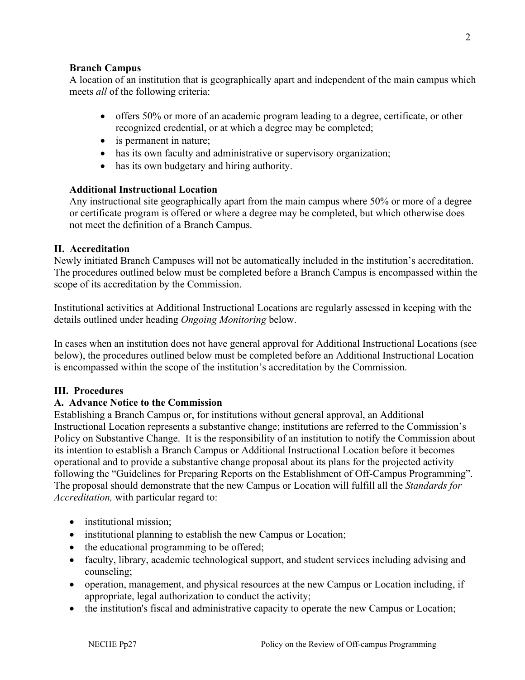#### **Branch Campus**

A location of an institution that is geographically apart and independent of the main campus which meets *all* of the following criteria:

- offers 50% or more of an academic program leading to a degree, certificate, or other recognized credential, or at which a degree may be completed;
- is permanent in nature;
- has its own faculty and administrative or supervisory organization;
- has its own budgetary and hiring authority.

## **Additional Instructional Location**

Any instructional site geographically apart from the main campus where 50% or more of a degree or certificate program is offered or where a degree may be completed, but which otherwise does not meet the definition of a Branch Campus.

### **II. Accreditation**

Newly initiated Branch Campuses will not be automatically included in the institution's accreditation. The procedures outlined below must be completed before a Branch Campus is encompassed within the scope of its accreditation by the Commission.

Institutional activities at Additional Instructional Locations are regularly assessed in keeping with the details outlined under heading *Ongoing Monitoring* below.

In cases when an institution does not have general approval for Additional Instructional Locations (see below), the procedures outlined below must be completed before an Additional Instructional Location is encompassed within the scope of the institution's accreditation by the Commission.

## **III. Procedures**

## **A. Advance Notice to the Commission**

Establishing a Branch Campus or, for institutions without general approval, an Additional Instructional Location represents a substantive change; institutions are referred to the Commission's Policy on Substantive Change. It is the responsibility of an institution to notify the Commission about its intention to establish a Branch Campus or Additional Instructional Location before it becomes operational and to provide a substantive change proposal about its plans for the projected activity following the "Guidelines for Preparing Reports on the Establishment of Off-Campus Programming". The proposal should demonstrate that the new Campus or Location will fulfill all the *Standards for Accreditation,* with particular regard to:

- institutional mission;
- institutional planning to establish the new Campus or Location;
- the educational programming to be offered;
- faculty, library, academic technological support, and student services including advising and counseling;
- operation, management, and physical resources at the new Campus or Location including, if appropriate, legal authorization to conduct the activity;
- the institution's fiscal and administrative capacity to operate the new Campus or Location;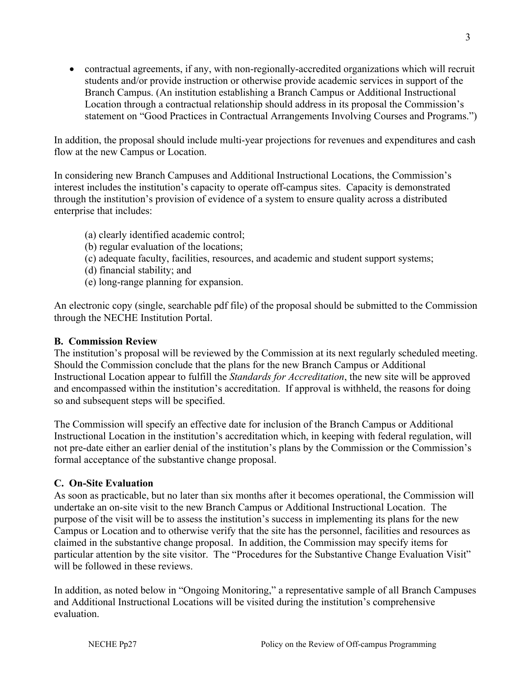contractual agreements, if any, with non-regionally-accredited organizations which will recruit students and/or provide instruction or otherwise provide academic services in support of the Branch Campus. (An institution establishing a Branch Campus or Additional Instructional Location through a contractual relationship should address in its proposal the Commission's statement on "Good Practices in Contractual Arrangements Involving Courses and Programs.")

In addition, the proposal should include multi-year projections for revenues and expenditures and cash flow at the new Campus or Location.

In considering new Branch Campuses and Additional Instructional Locations, the Commission's interest includes the institution's capacity to operate off-campus sites. Capacity is demonstrated through the institution's provision of evidence of a system to ensure quality across a distributed enterprise that includes:

- (a) clearly identified academic control;
- (b) regular evaluation of the locations;
- (c) adequate faculty, facilities, resources, and academic and student support systems;
- (d) financial stability; and
- (e) long-range planning for expansion.

An electronic copy (single, searchable pdf file) of the proposal should be submitted to the Commission through the NECHE Institution Portal.

## **B. Commission Review**

The institution's proposal will be reviewed by the Commission at its next regularly scheduled meeting. Should the Commission conclude that the plans for the new Branch Campus or Additional Instructional Location appear to fulfill the *Standards for Accreditation*, the new site will be approved and encompassed within the institution's accreditation. If approval is withheld, the reasons for doing so and subsequent steps will be specified.

The Commission will specify an effective date for inclusion of the Branch Campus or Additional Instructional Location in the institution's accreditation which, in keeping with federal regulation, will not pre-date either an earlier denial of the institution's plans by the Commission or the Commission's formal acceptance of the substantive change proposal.

## **C. On-Site Evaluation**

As soon as practicable, but no later than six months after it becomes operational, the Commission will undertake an on-site visit to the new Branch Campus or Additional Instructional Location. The purpose of the visit will be to assess the institution's success in implementing its plans for the new Campus or Location and to otherwise verify that the site has the personnel, facilities and resources as claimed in the substantive change proposal. In addition, the Commission may specify items for particular attention by the site visitor. The "Procedures for the Substantive Change Evaluation Visit" will be followed in these reviews.

In addition, as noted below in "Ongoing Monitoring," a representative sample of all Branch Campuses and Additional Instructional Locations will be visited during the institution's comprehensive evaluation.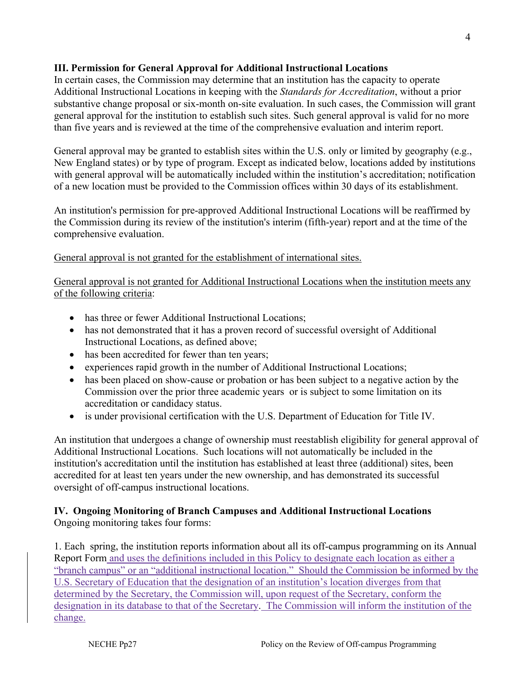#### **III. Permission for General Approval for Additional Instructional Locations**

In certain cases, the Commission may determine that an institution has the capacity to operate Additional Instructional Locations in keeping with the *Standards for Accreditation*, without a prior substantive change proposal or six-month on-site evaluation. In such cases, the Commission will grant general approval for the institution to establish such sites. Such general approval is valid for no more than five years and is reviewed at the time of the comprehensive evaluation and interim report.

General approval may be granted to establish sites within the U.S. only or limited by geography (e.g., New England states) or by type of program. Except as indicated below, locations added by institutions with general approval will be automatically included within the institution's accreditation; notification of a new location must be provided to the Commission offices within 30 days of its establishment.

An institution's permission for pre-approved Additional Instructional Locations will be reaffirmed by the Commission during its review of the institution's interim (fifth-year) report and at the time of the comprehensive evaluation.

General approval is not granted for the establishment of international sites.

General approval is not granted for Additional Instructional Locations when the institution meets any of the following criteria:

- has three or fewer Additional Instructional Locations:
- has not demonstrated that it has a proven record of successful oversight of Additional Instructional Locations, as defined above;
- has been accredited for fewer than ten years;
- experiences rapid growth in the number of Additional Instructional Locations;
- has been placed on show-cause or probation or has been subject to a negative action by the Commission over the prior three academic years or is subject to some limitation on its accreditation or candidacy status.
- is under provisional certification with the U.S. Department of Education for Title IV.

An institution that undergoes a change of ownership must reestablish eligibility for general approval of Additional Instructional Locations. Such locations will not automatically be included in the institution's accreditation until the institution has established at least three (additional) sites, been accredited for at least ten years under the new ownership, and has demonstrated its successful oversight of off-campus instructional locations.

#### **IV. Ongoing Monitoring of Branch Campuses and Additional Instructional Locations**  Ongoing monitoring takes four forms:

1. Each spring, the institution reports information about all its off-campus programming on its Annual Report Form and uses the definitions included in this Policy to designate each location as either a "branch campus" or an "additional instructional location." Should the Commission be informed by the U.S. Secretary of Education that the designation of an institution's location diverges from that determined by the Secretary, the Commission will, upon request of the Secretary, conform the designation in its database to that of the Secretary. The Commission will inform the institution of the change.